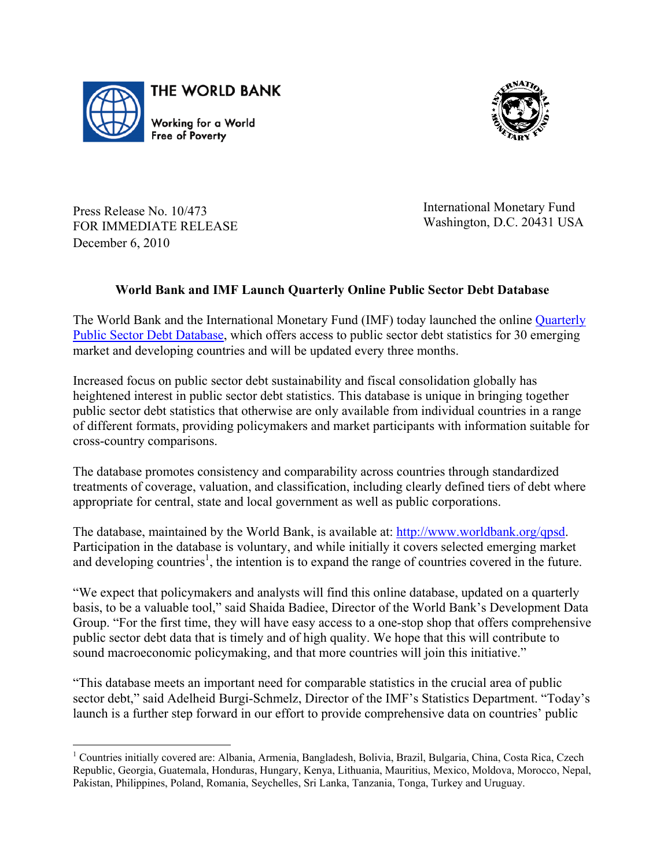



Press Release No. 10/473 FOR IMMEDIATE RELEASE December 6, 2010

International Monetary Fund Washington, D.C. 20431 USA

## **World Bank and IMF Launch Quarterly Online Public Sector Debt Database**

The World Bank and the International Monetary Fund (IMF) today launched the online [Quarterly](http://www.worldbank.org/qpsd)  [Public Sector Debt Database,](http://www.worldbank.org/qpsd) which offers access to public sector debt statistics for 30 emerging market and developing countries and will be updated every three months.

Increased focus on public sector debt sustainability and fiscal consolidation globally has heightened interest in public sector debt statistics. This database is unique in bringing together public sector debt statistics that otherwise are only available from individual countries in a range of different formats, providing policymakers and market participants with information suitable for cross-country comparisons.

The database promotes consistency and comparability across countries through standardized treatments of coverage, valuation, and classification, including clearly defined tiers of debt where appropriate for central, state and local government as well as public corporations.

The database, maintained by the World Bank, is available at: http://www.worldbank.org/qpsd. Participation in the database is voluntary, and while initially it covers selected emerging market and developing countries<sup>1</sup>, the intention is to expand the range of countries covered in the future.

"We expect that policymakers and analysts will find this online database, updated on a quarterly basis, to be a valuable tool," said Shaida Badiee, Director of the World Bank's Development Data Group. "For the first time, they will have easy access to a one-stop shop that offers comprehensive public sector debt data that is timely and of high quality. We hope that this will contribute to sound macroeconomic policymaking, and that more countries will join this initiative."

"This database meets an important need for comparable statistics in the crucial area of public sector debt," said Adelheid Burgi-Schmelz, Director of the IMF's Statistics Department. "Today's launch is a further step forward in our effort to provide comprehensive data on countries' public

 $\overline{a}$ <sup>1</sup> Countries initially covered are: Albania, Armenia, Bangladesh, Bolivia, Brazil, Bulgaria, China, Costa Rica, Czech Republic, Georgia, Guatemala, Honduras, Hungary, Kenya, Lithuania, Mauritius, Mexico, Moldova, Morocco, Nepal, Pakistan, Philippines, Poland, Romania, Seychelles, Sri Lanka, Tanzania, Tonga, Turkey and Uruguay.